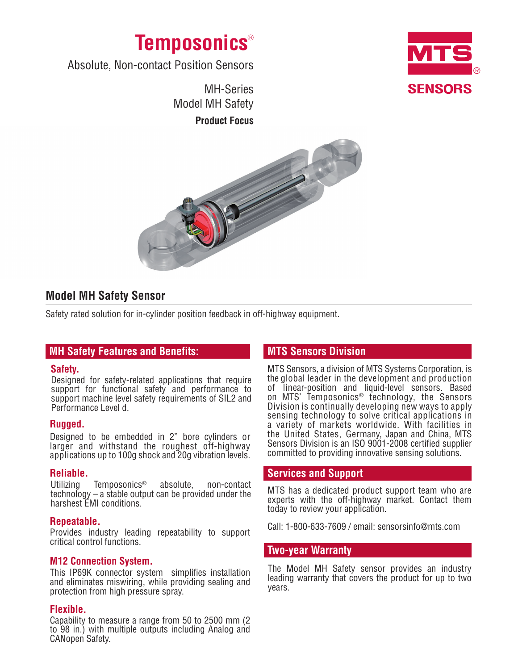



Absolute, Non-contact Position Sensors

MH-Series Model MH Safety **Product Focus**



# **Model MH Safety Sensor**

Safety rated solution for in-cylinder position feedback in off-highway equipment.

# **MH Safety Features and Benefits:**

#### **Safety.**

Designed for safety-related applications that require support for functional safety and performance to support machine level safety requirements of SIL2 and Performance Level d.

## **Rugged.**

Designed to be embedded in 2" bore cylinders or larger and withstand the roughest off-highway applications up to 100g shock and 20g vibration levels.

#### **Reliable.**

Utilizing Temposonics® absolute, non-contact  $technology - a stable output can be provided under the$ harshest EMI conditions.

#### **Repeatable.**

Provides industry leading repeatability to support critical control functions.

## **M12 Connection System.**

This IP69K connector system simplifies installation and eliminates miswiring, while providing sealing and protection from high pressure spray.

#### **Flexible.**

Capability to measure a range from 50 to 2500 mm (2 to 98 in.) with multiple outputs including Analog and CANopen Safety.

# **MTS Sensors Division**

MTS Sensors, a division of MTS Systems Corporation, is the global leader in the development and production of linear-position and liquid-level sensors. Based on MTS' Temposonics® technology, the Sensors Division is continually developing new ways to apply sensing technology to solve critical applications in a variety of markets worldwide. With facilities in the United States, Germany, Japan and China, MTS Sensors Division is an ISO 9001-2008 certified supplier committed to providing innovative sensing solutions.

## **Services and Support**

MTS has a dedicated product support team who are experts with the off-highway market. Contact them today to review your application.

Call: 1-800-633-7609 / email: sensorsinfo@mts.com

## **Two-year Warranty**

The Model MH Safety sensor provides an industry leading warranty that covers the product for up to two years.